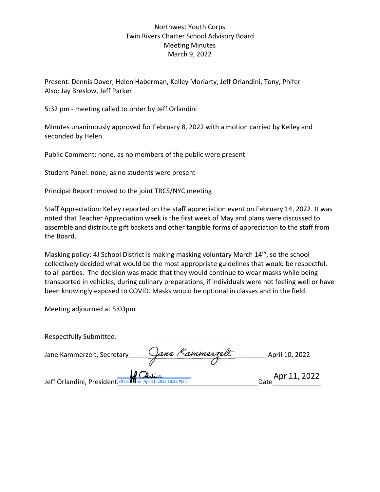## Northwest Youth Corps Twin Rivers Charter School Advisory Board Meeting Minutes March 9, 2022 Northwest Youth Corps<br>
Twin Rivers Charter School Advisory Board<br>
Meeting Minutes<br>
March 9, 2022<br>
Present: Dennis Dover, Helen Haberman, Kelley Moriarty, Jeff Orlandini, Tony, Phif<br>
Also: Jay Breslow, Jeff Parker<br>
5:32 pm

Present: Dennis Dover, Helen Haberman, Kelley Moriarty, Jeff Orlandini, Tony, Phifer Also: Jay Breslow, Jeff Parker

5:32 pm - meeting called to order by Jeff Orlandini

Morthwest Youth Corps<br>
Meeting Minutes<br>
March 9, 2022<br>
Present: Dennis Dover, Helen Haberman, Kelley Moriarty, Jeff Orlandini, Tony, Phifer<br>
Also: Jay Breslow, Jeff Parker<br>
5:32 pm - meeting called to order by Jeff Orlandi seconded by Helen.

Public Comment: none, as no members of the public were present

I WIN Rivers Charter School Advisory Board<br>
Meeting Minutes<br>
March 9, 2022<br>
Present: Dennis Dover, Helen Haberman, Kelley Moriarty, Jeff Orlandini, Tony, Phifer<br>
Pisal Report: moved to refer by Jeff Orlandini<br>
Minutes unan Staff Appreciation: Kelley reported on the staff appreciation event on February 14, 2022. It was noted that Teacher Appreciation week is the first week of May and plans were discussed to assemble and distribute gift baskets and other tangible forms of appreciation to the staff from the Board.

Masking policy: 4J School District is making masking voluntary March 14<sup>th</sup>, so the school collectively decided what would be the most appropriate guidelines that would be respectful. Minutes unanimously approved for February 8, 2022 with a motion carried by Kelley and<br>seconded by Helen.<br>Public Comment: none, as no members of the public were present<br>Student Panel: none, as no students were present<br>Princ transported in vehicles, during culinary preparations, if individuals were not feeling well or have been knowingly exposed to COVID. Masks would be optional in classes and in the field.

| Staff Appreciation: Kelley reported on the staff appreciation event on February 14, 2022. It was<br>noted that Teacher Appreciation week is the first week of May and plans were discussed to<br>assemble and distribute gift baskets and other tangible forms of appreciation to the staff from<br>the Board.                                                                                                                                                                                    |  |
|---------------------------------------------------------------------------------------------------------------------------------------------------------------------------------------------------------------------------------------------------------------------------------------------------------------------------------------------------------------------------------------------------------------------------------------------------------------------------------------------------|--|
| Masking policy: 4J School District is making masking voluntary March 14 <sup>th</sup> , so the school<br>collectively decided what would be the most appropriate guidelines that would be respectful.<br>to all parties. The decision was made that they would continue to wear masks while being<br>transported in vehicles, during culinary preparations, if individuals were not feeling well or have<br>been knowingly exposed to COVID. Masks would be optional in classes and in the field. |  |
| Meeting adjourned at 5:03pm                                                                                                                                                                                                                                                                                                                                                                                                                                                                       |  |
| <b>Respectfully Submitted:</b>                                                                                                                                                                                                                                                                                                                                                                                                                                                                    |  |
| Jane Kammerzelt, Secretary 11 Jane Kammerzelt<br>April 10, 2022                                                                                                                                                                                                                                                                                                                                                                                                                                   |  |
| Jeff Orlandini, President <i>eff</i> or <i>Marie (Apr 11, 2022 10:28 PDT</i> )<br>Date Apr 11, 2022                                                                                                                                                                                                                                                                                                                                                                                               |  |
|                                                                                                                                                                                                                                                                                                                                                                                                                                                                                                   |  |